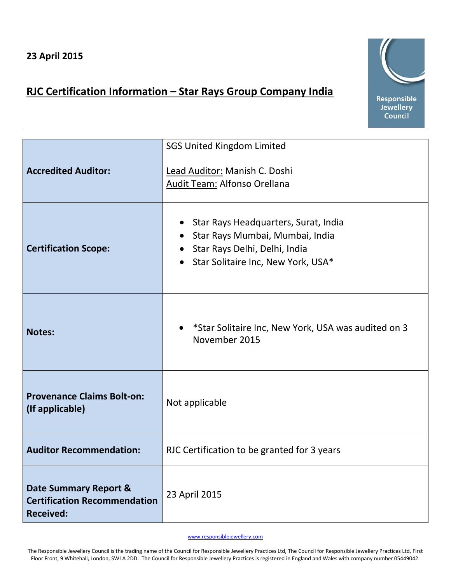## **RJC Certification Information – Star Rays Group Company India**



|                                                                                  | <b>SGS United Kingdom Limited</b>                                                                                                                |
|----------------------------------------------------------------------------------|--------------------------------------------------------------------------------------------------------------------------------------------------|
| <b>Accredited Auditor:</b>                                                       | Lead Auditor: Manish C. Doshi<br>Audit Team: Alfonso Orellana                                                                                    |
| <b>Certification Scope:</b>                                                      | Star Rays Headquarters, Surat, India<br>Star Rays Mumbai, Mumbai, India<br>Star Rays Delhi, Delhi, India<br>• Star Solitaire Inc, New York, USA* |
| <b>Notes:</b>                                                                    | *Star Solitaire Inc, New York, USA was audited on 3<br>November 2015                                                                             |
| <b>Provenance Claims Bolt-on:</b><br>(If applicable)                             | Not applicable                                                                                                                                   |
| <b>Auditor Recommendation:</b>                                                   | RJC Certification to be granted for 3 years                                                                                                      |
| Date Summary Report &<br><b>Certification Recommendation</b><br><b>Received:</b> | 23 April 2015                                                                                                                                    |

## [www.responsiblejewellery.com](http://www.responsiblejewellery.com/)

The Responsible Jewellery Council is the trading name of the Council for Responsible Jewellery Practices Ltd, The Council for Responsible Jewellery Practices Ltd, First Floor Front, 9 Whitehall, London, SW1A 2DD. The Council for Responsible Jewellery Practices is registered in England and Wales with company number 05449042.